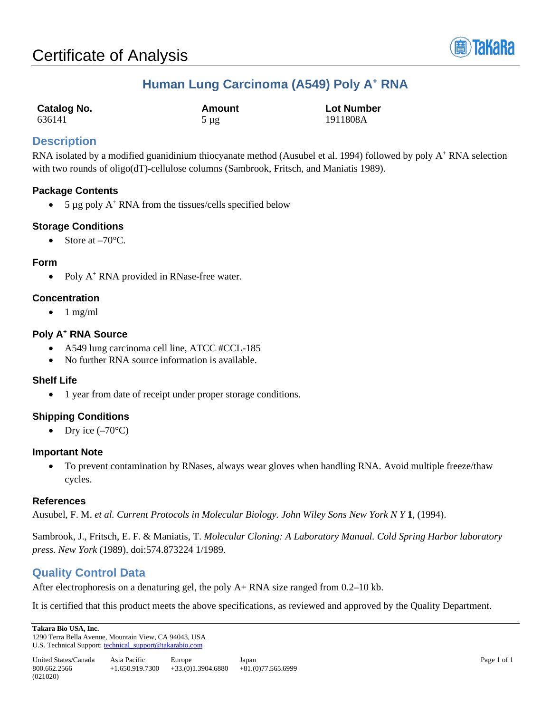

## **Human Lung Carcinoma (A549) Poly A+ RNA**

| <b>Catalog No.</b> | Amount    | <b>Lot Number</b> |
|--------------------|-----------|-------------------|
| 636141             | $5 \mu$ g | 1911808A          |

## **Description**

RNA isolated by a modified guanidinium thiocyanate method (Ausubel et al. 1994) followed by poly A<sup>+</sup> RNA selection with two rounds of oligo(dT)-cellulose columns (Sambrook, Fritsch, and Maniatis 1989).

#### **Package Contents**

• 5  $\mu$ g poly A<sup>+</sup> RNA from the tissues/cells specified below

### **Storage Conditions**

• Store at  $-70^{\circ}$ C.

#### **Form**

• Poly A<sup>+</sup> RNA provided in RNase-free water.

#### **Concentration**

 $\bullet$  1 mg/ml

#### **Poly A+ RNA Source**

- A549 lung carcinoma cell line, ATCC #CCL-185
- No further RNA source information is available.

#### **Shelf Life**

• 1 year from date of receipt under proper storage conditions.

### **Shipping Conditions**

• Dry ice  $(-70^{\circ}C)$ 

#### **Important Note**

• To prevent contamination by RNases, always wear gloves when handling RNA. Avoid multiple freeze/thaw cycles.

#### **References**

Ausubel, F. M. *et al. Current Protocols in Molecular Biology. John Wiley Sons New York N Y* **1**, (1994).

Sambrook, J., Fritsch, E. F. & Maniatis, T. *Molecular Cloning: A Laboratory Manual. Cold Spring Harbor laboratory press. New York* (1989). doi:574.873224 1/1989.

## **Quality Control Data**

After electrophoresis on a denaturing gel, the poly A+ RNA size ranged from 0.2–10 kb.

It is certified that this product meets the above specifications, as reviewed and approved by the Quality Department.